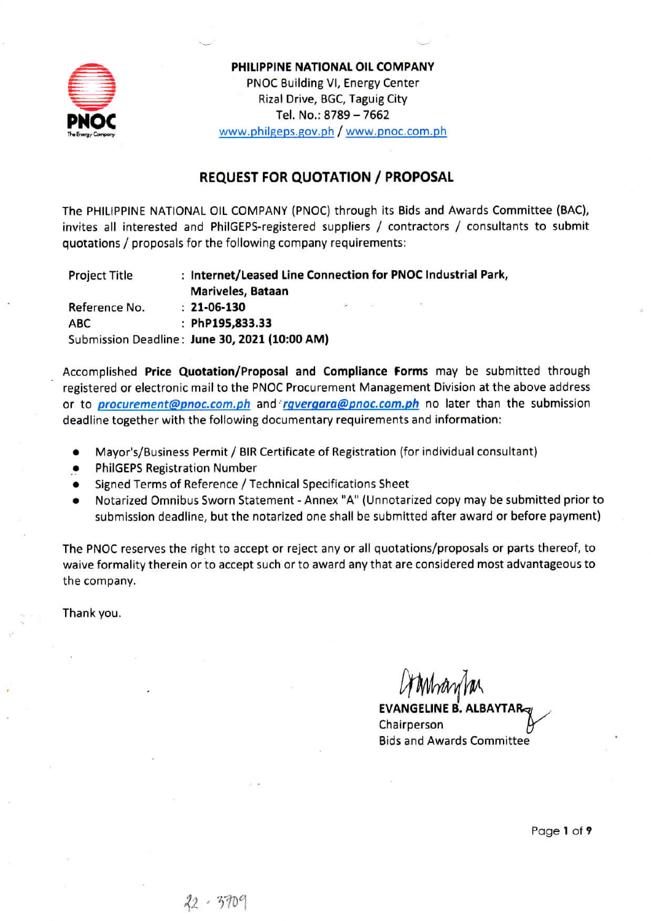

PHILIPPINE NATIONAL OIL COMPANY PNOC Building VI, Energy Center Rizal Drive, BGC, Taguig City Tel. No.: 8789 - 7662 www.philgeps.gov.ph / www.pnoc.com.ph

## **REQUEST FOR QUOTATION / PROPOSAL**

The PHILIPPINE NATIONAL OIL COMPANY (PNOC) through its Bids and Awards Committee (BAC), invites all interested and PhilGEPS-registered suppliers / contractors / consultants to submit quotations / proposals for the following company requirements:

**Project Title** : Internet/Leased Line Connection for PNOC Industrial Park, Mariveles, Bataan  $: 21 - 06 - 130$ Reference No. : PhP195,833.33 **ABC** Submission Deadline: June 30, 2021 (10:00 AM)

Accomplished Price Quotation/Proposal and Compliance Forms may be submitted through registered or electronic mail to the PNOC Procurement Management Division at the above address or to *procurement@pnoc.com.ph* and *rgvergara@pnoc.com.ph* no later than the submission deadline together with the following documentary requirements and information:

- Mayor's/Business Permit / BIR Certificate of Registration (for individual consultant)
- **PhilGEPS Registration Number**
- Signed Terms of Reference / Technical Specifications Sheet
- Notarized Omnibus Sworn Statement Annex "A" (Unnotarized copy may be submitted prior to submission deadline, but the notarized one shall be submitted after award or before payment)

The PNOC reserves the right to accept or reject any or all quotations/proposals or parts thereof, to waive formality therein or to accept such or to award any that are considered most advantageous to the company.

Thank you.

Moranda **EVANGELINE B. AL** Chairperson **Bids and Awards Committee** 

Page 1 of 9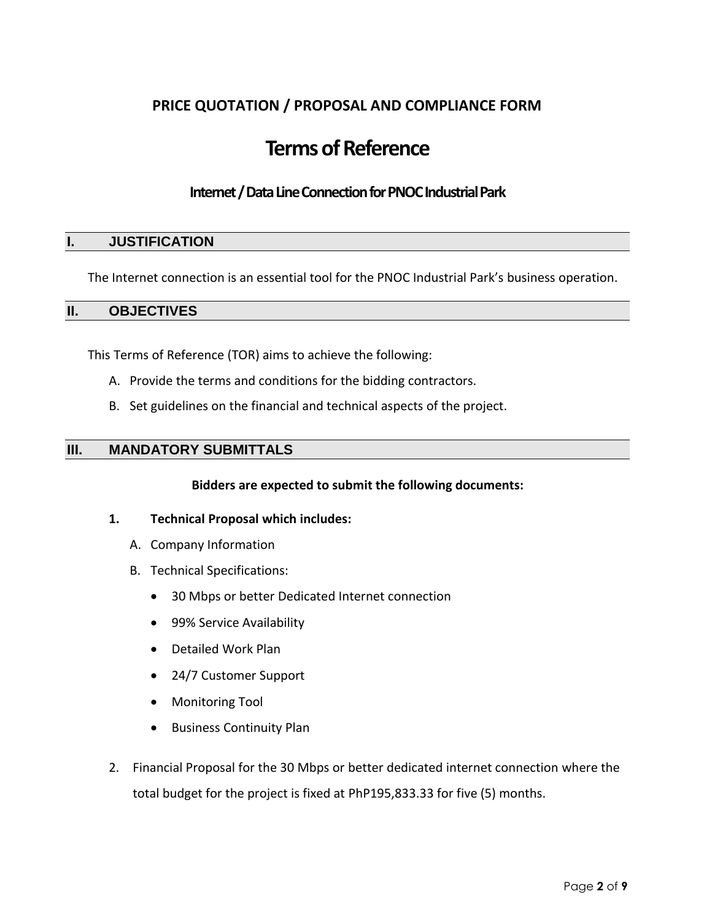## **PRICE QUOTATION / PROPOSAL AND COMPLIANCE FORM**

# **Terms of Reference**

## **Internet / Data Line Connection for PNOC Industrial Park**

## **I. JUSTIFICATION**

The Internet connection is an essential tool for the PNOC Industrial Park's business operation.

#### **II. OBJECTIVES**

This Terms of Reference (TOR) aims to achieve the following:

- A. Provide the terms and conditions for the bidding contractors.
- B. Set guidelines on the financial and technical aspects of the project.

## **III. MANDATORY SUBMITTALS**

#### **Bidders are expected to submit the following documents:**

- **1. Technical Proposal which includes:**
	- A. Company Information
	- B. Technical Specifications:
		- 30 Mbps or better Dedicated Internet connection
		- 99% Service Availability
		- Detailed Work Plan
		- 24/7 Customer Support
		- Monitoring Tool
		- **•** Business Continuity Plan
- 2. Financial Proposal for the 30 Mbps or better dedicated internet connection where the total budget for the project is fixed at PhP195,833.33 for five (5) months.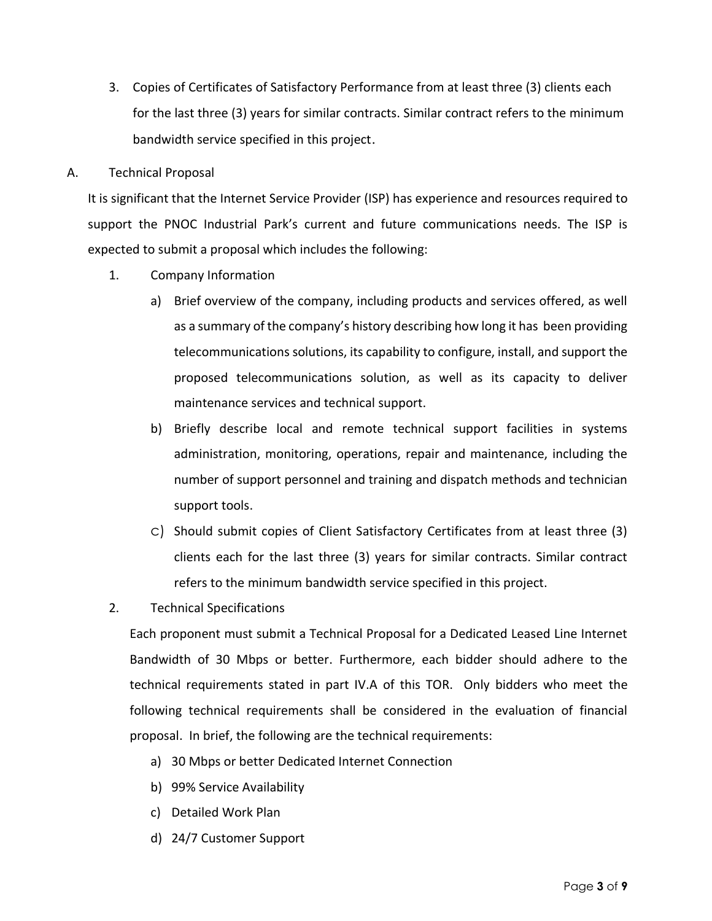3. Copies of Certificates of Satisfactory Performance from at least three (3) clients each for the last three (3) years for similar contracts. Similar contract refers to the minimum bandwidth service specified in this project.

A. Technical Proposal

It is significant that the Internet Service Provider (ISP) has experience and resources required to support the PNOC Industrial Park's current and future communications needs. The ISP is expected to submit a proposal which includes the following:

- 1. Company Information
	- a) Brief overview of the company, including products and services offered, as well as a summary of the company's history describing how long it has been providing telecommunications solutions, its capability to configure, install, and support the proposed telecommunications solution, as well as its capacity to deliver maintenance services and technical support.
	- b) Briefly describe local and remote technical support facilities in systems administration, monitoring, operations, repair and maintenance, including the number of support personnel and training and dispatch methods and technician support tools.
	- c) Should submit copies of Client Satisfactory Certificates from at least three (3) clients each for the last three (3) years for similar contracts. Similar contract refers to the minimum bandwidth service specified in this project.
- 2. Technical Specifications

Each proponent must submit a Technical Proposal for a Dedicated Leased Line Internet Bandwidth of 30 Mbps or better. Furthermore, each bidder should adhere to the technical requirements stated in part IV.A of this TOR. Only bidders who meet the following technical requirements shall be considered in the evaluation of financial proposal. In brief, the following are the technical requirements:

- a) 30 Mbps or better Dedicated Internet Connection
- b) 99% Service Availability
- c) Detailed Work Plan
- d) 24/7 Customer Support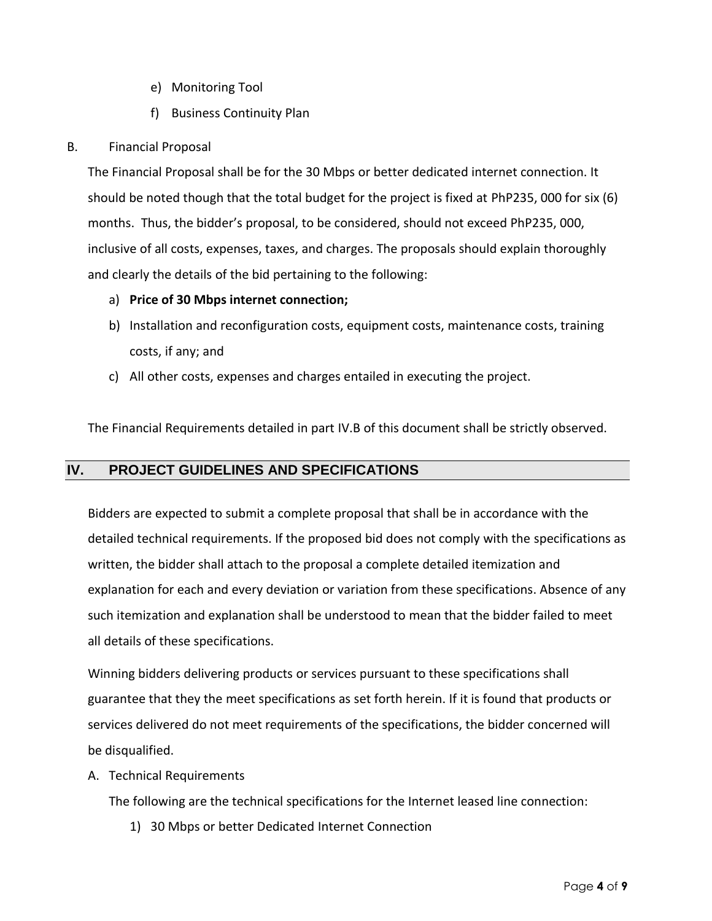- e) Monitoring Tool
- f) Business Continuity Plan

#### B. Financial Proposal

The Financial Proposal shall be for the 30 Mbps or better dedicated internet connection. It should be noted though that the total budget for the project is fixed at PhP235, 000 for six (6) months. Thus, the bidder's proposal, to be considered, should not exceed PhP235, 000, inclusive of all costs, expenses, taxes, and charges. The proposals should explain thoroughly and clearly the details of the bid pertaining to the following:

#### a) **Price of 30 Mbps internet connection;**

- b) Installation and reconfiguration costs, equipment costs, maintenance costs, training costs, if any; and
- c) All other costs, expenses and charges entailed in executing the project.

The Financial Requirements detailed in part IV.B of this document shall be strictly observed.

#### **IV. PROJECT GUIDELINES AND SPECIFICATIONS**

Bidders are expected to submit a complete proposal that shall be in accordance with the detailed technical requirements. If the proposed bid does not comply with the specifications as written, the bidder shall attach to the proposal a complete detailed itemization and explanation for each and every deviation or variation from these specifications. Absence of any such itemization and explanation shall be understood to mean that the bidder failed to meet all details of these specifications.

Winning bidders delivering products or services pursuant to these specifications shall guarantee that they the meet specifications as set forth herein. If it is found that products or services delivered do not meet requirements of the specifications, the bidder concerned will be disqualified.

A. Technical Requirements

The following are the technical specifications for the Internet leased line connection:

1) 30 Mbps or better Dedicated Internet Connection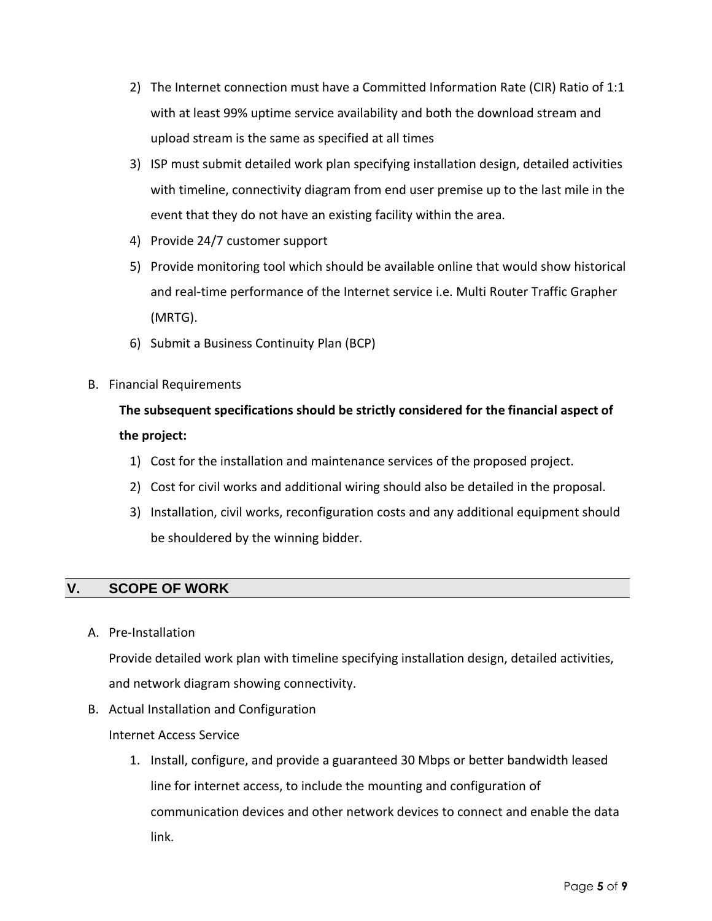- 2) The Internet connection must have a Committed Information Rate (CIR) Ratio of 1:1 with at least 99% uptime service availability and both the download stream and upload stream is the same as specified at all times
- 3) ISP must submit detailed work plan specifying installation design, detailed activities with timeline, connectivity diagram from end user premise up to the last mile in the event that they do not have an existing facility within the area.
- 4) Provide 24/7 customer support
- 5) Provide monitoring tool which should be available online that would show historical and real-time performance of the Internet service i.e. Multi Router Traffic Grapher (MRTG).
- 6) Submit a Business Continuity Plan (BCP)
- B. Financial Requirements

# **The subsequent specifications should be strictly considered for the financial aspect of the project:**

- 1) Cost for the installation and maintenance services of the proposed project.
- 2) Cost for civil works and additional wiring should also be detailed in the proposal.
- 3) Installation, civil works, reconfiguration costs and any additional equipment should be shouldered by the winning bidder.

## **V. SCOPE OF WORK**

A. Pre-Installation

Provide detailed work plan with timeline specifying installation design, detailed activities, and network diagram showing connectivity.

B. Actual Installation and Configuration

## Internet Access Service

1. Install, configure, and provide a guaranteed 30 Mbps or better bandwidth leased line for internet access, to include the mounting and configuration of communication devices and other network devices to connect and enable the data link.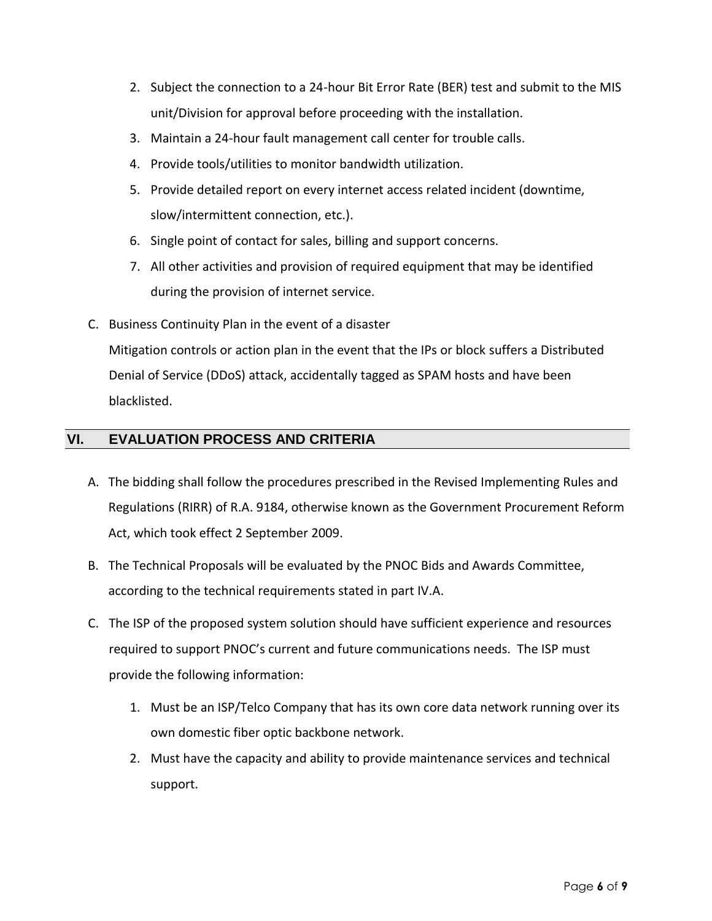- 2. Subject the connection to a 24-hour Bit Error Rate (BER) test and submit to the MIS unit/Division for approval before proceeding with the installation.
- 3. Maintain a 24-hour fault management call center for trouble calls.
- 4. Provide tools/utilities to monitor bandwidth utilization.
- 5. Provide detailed report on every internet access related incident (downtime, slow/intermittent connection, etc.).
- 6. Single point of contact for sales, billing and support concerns.
- 7. All other activities and provision of required equipment that may be identified during the provision of internet service.
- C. Business Continuity Plan in the event of a disaster Mitigation controls or action plan in the event that the IPs or block suffers a Distributed Denial of Service (DDoS) attack, accidentally tagged as SPAM hosts and have been blacklisted.

## **VI. EVALUATION PROCESS AND CRITERIA**

- A. The bidding shall follow the procedures prescribed in the Revised Implementing Rules and Regulations (RIRR) of R.A. 9184, otherwise known as the Government Procurement Reform Act, which took effect 2 September 2009.
- B. The Technical Proposals will be evaluated by the PNOC Bids and Awards Committee, according to the technical requirements stated in part IV.A.
- C. The ISP of the proposed system solution should have sufficient experience and resources required to support PNOC's current and future communications needs. The ISP must provide the following information:
	- 1. Must be an ISP/Telco Company that has its own core data network running over its own domestic fiber optic backbone network.
	- 2. Must have the capacity and ability to provide maintenance services and technical support.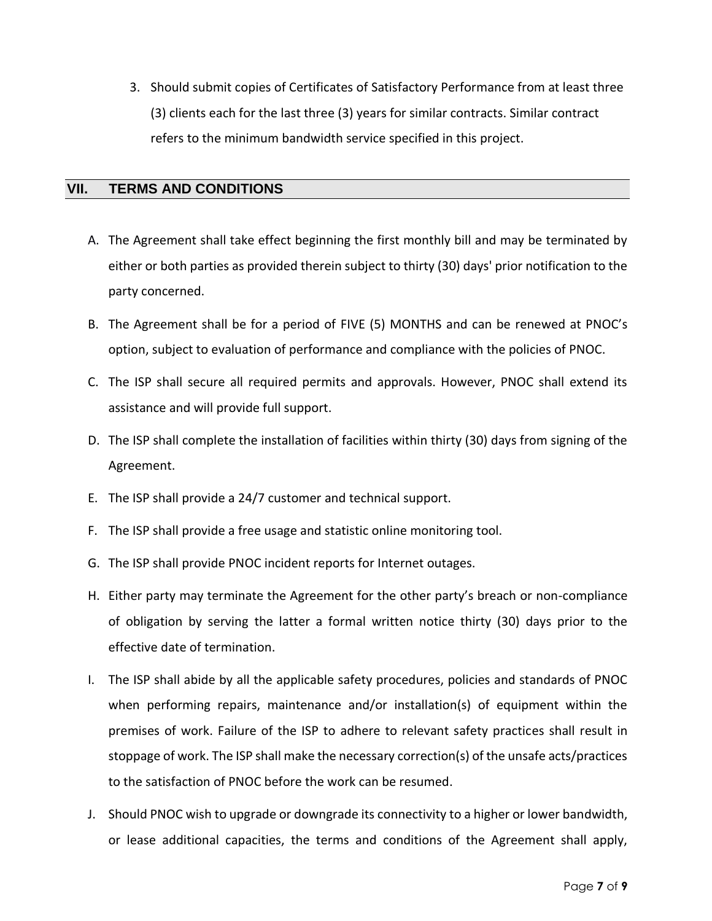3. Should submit copies of Certificates of Satisfactory Performance from at least three (3) clients each for the last three (3) years for similar contracts. Similar contract refers to the minimum bandwidth service specified in this project.

#### **VII. TERMS AND CONDITIONS**

- A. The Agreement shall take effect beginning the first monthly bill and may be terminated by either or both parties as provided therein subject to thirty (30) days' prior notification to the party concerned.
- B. The Agreement shall be for a period of FIVE (5) MONTHS and can be renewed at PNOC's option, subject to evaluation of performance and compliance with the policies of PNOC.
- C. The ISP shall secure all required permits and approvals. However, PNOC shall extend its assistance and will provide full support.
- D. The ISP shall complete the installation of facilities within thirty (30) days from signing of the Agreement.
- E. The ISP shall provide a 24/7 customer and technical support.
- F. The ISP shall provide a free usage and statistic online monitoring tool.
- G. The ISP shall provide PNOC incident reports for Internet outages.
- H. Either party may terminate the Agreement for the other party's breach or non-compliance of obligation by serving the latter a formal written notice thirty (30) days prior to the effective date of termination.
- I. The ISP shall abide by all the applicable safety procedures, policies and standards of PNOC when performing repairs, maintenance and/or installation(s) of equipment within the premises of work. Failure of the ISP to adhere to relevant safety practices shall result in stoppage of work. The ISP shall make the necessary correction(s) of the unsafe acts/practices to the satisfaction of PNOC before the work can be resumed.
- J. Should PNOC wish to upgrade or downgrade its connectivity to a higher or lower bandwidth, or lease additional capacities, the terms and conditions of the Agreement shall apply,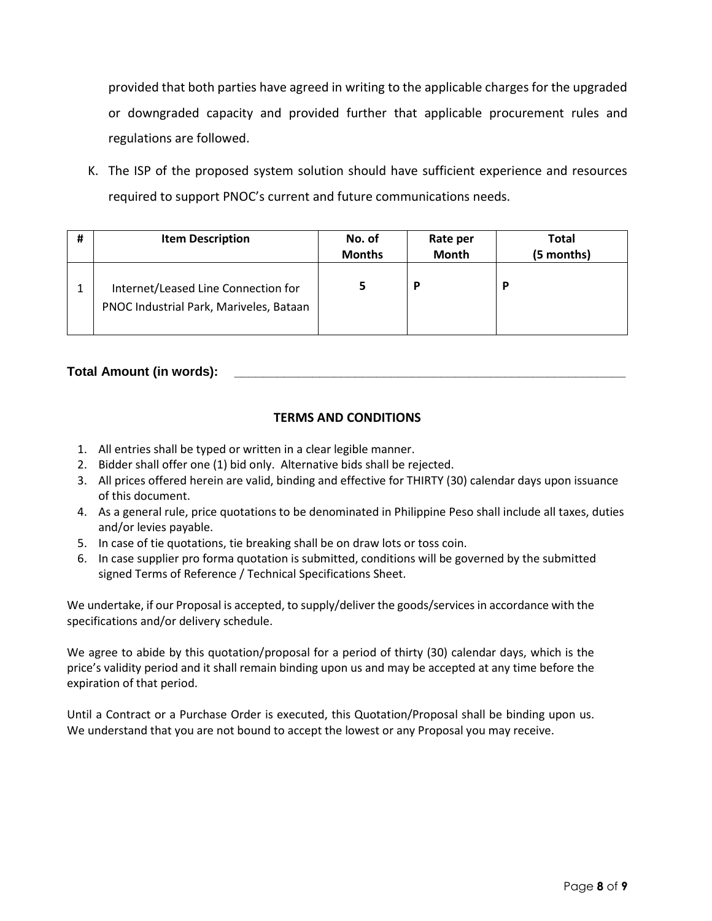provided that both parties have agreed in writing to the applicable charges for the upgraded or downgraded capacity and provided further that applicable procurement rules and regulations are followed.

K. The ISP of the proposed system solution should have sufficient experience and resources required to support PNOC's current and future communications needs.

| # | <b>Item Description</b>                                                        | No. of<br><b>Months</b> | Rate per<br><b>Month</b> | <b>Total</b><br>(5 months) |
|---|--------------------------------------------------------------------------------|-------------------------|--------------------------|----------------------------|
|   | Internet/Leased Line Connection for<br>PNOC Industrial Park, Mariveles, Bataan |                         | P                        | P                          |

#### **Total Amount (in words): \_\_\_\_\_\_\_\_\_\_\_\_\_\_\_\_\_\_\_\_\_\_\_\_\_\_\_\_\_\_\_\_\_\_\_\_\_\_\_\_\_\_\_\_\_\_\_\_\_\_\_\_\_\_\_**

#### **TERMS AND CONDITIONS**

- 1. All entries shall be typed or written in a clear legible manner.
- 2. Bidder shall offer one (1) bid only. Alternative bids shall be rejected.
- 3. All prices offered herein are valid, binding and effective for THIRTY (30) calendar days upon issuance of this document.
- 4. As a general rule, price quotations to be denominated in Philippine Peso shall include all taxes, duties and/or levies payable.
- 5. In case of tie quotations, tie breaking shall be on draw lots or toss coin.
- 6. In case supplier pro forma quotation is submitted, conditions will be governed by the submitted signed Terms of Reference / Technical Specifications Sheet.

We undertake, if our Proposal is accepted, to supply/deliver the goods/services in accordance with the specifications and/or delivery schedule.

We agree to abide by this quotation/proposal for a period of thirty (30) calendar days, which is the price's validity period and it shall remain binding upon us and may be accepted at any time before the expiration of that period.

Until a Contract or a Purchase Order is executed, this Quotation/Proposal shall be binding upon us. We understand that you are not bound to accept the lowest or any Proposal you may receive.